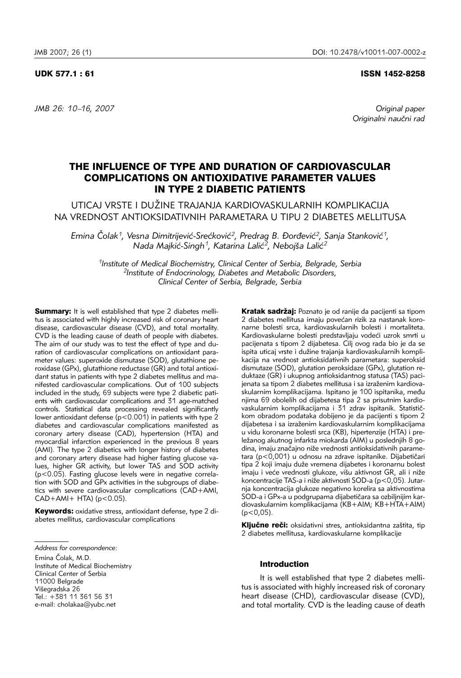## UDK 577.1 : 61 ISSN 1452-8258

*JMB 26: 10–16, 2007 Original paper* 

Originalni naučni rad

# THE INFLUENCE OF TYPE AND DURATION OF CARDIOVASCULAR COMPLICATIONS ON ANTIOXIDATIVE PARAMETER VALUES IN TYPE 2 DIABETIC PATIENTS

UTICAJ VRSTE I DUŽINE TRAJANJA KARDIOVASKULARNIH KOMPLIKACIJA NA VREDNOST ANTIOKSIDATIVNIH PARAMETARA U TIPU 2 DIABETES MELLITUSA

*Emina Čolak<sup>1</sup>, Vesna Dimitrijević-Srećković<sup>2</sup>, Predrag B. Đorđević<sup>2</sup>, Sanja Stanković<sup>1</sup>,* Nada Majkić-Singh<sup>1</sup>, Katarina Lalić<sup>2</sup>, Nebojša Lalić<sup>2</sup>

*1Institute of Medical Biochemistry, Clinical Center of Serbia, Belgrade, Serbia 2Institute of Endocrinology, Diabetes and Metabolic Disorders, Clinical Center of Serbia, Belgrade, Serbia*

**Summary:** It is well established that type 2 diabetes mellitus is associated with highly increased risk of coronary heart disease, cardiovascular disease (CVD), and total mortality. CVD is the leading cause of death of people with diabetes. The aim of our study was to test the effect of type and duration of cardiovascular complications on antioxidant parameter values: superoxide dismutase (SOD), glutathione peroxidase (GPx), glutathione reductase (GR) and total antioxidant status in patients with type 2 diabetes mellitus and manifested cardiovascular complications. Out of 100 subjects included in the study, 69 subjects were type 2 diabetic patients with cardiovascular complications and 31 age-matched controls. Statistical data processing revealed significantly lower antioxidant defense ( $p$ <0.001) in patients with type 2 diabetes and cardiovascular complications manifested as coronary artery disease (CAD), hypertension (HTA) and myocardial infarction experienced in the previous 8 years (AMI). The type 2 diabetics with longer history of diabetes and coronary artery disease had higher fasting glucose values, higher GR activity, but lower TAS and SOD activity (p<0.05). Fasting glucose levels were in negative correlation with SOD and GPx activities in the subgroups of diabetics with severe cardiovascular complications (CAD+AMI,  $CAD+AMI+HTA$ ) ( $p < 0.05$ ).

Keywords: oxidative stress, antioxidant defense, type 2 diabetes mellitus, cardiovascular complications

Emina Čolak, M.D.

Institute of Medical Biochemistry Clinical Center of Serbia 11000 Belgrade Višegradska 26 Tel.: +381 11 361 56 31 e-mail: cholakaa@yubc.net

Kratak sadržaj: Poznato je od ranije da pacijenti sa tipom 2 diabetes mellitusa imaju povećan rizik za nastanak koronarne bolesti srca, kardiovaskularnih bolesti i mortaliteta. Kardiovaskularne bolesti predstavljaju vodeći uzrok smrti u pacijenata s tipom 2 dijabetesa. Cilj ovog rada bio je da se ispita uticaj vrste i dužine trajanja kardiovaskularnih komplikacija na vrednost antioksidativnih parametara: superoksid dismutaze (SOD), glutation peroksidaze (GPx), glutation reduktaze (GR) i ukupnog antioksidantnog statusa (TAS) pacijenata sa tipom 2 diabetes mellitusa i sa izraženim kardiovaskularnim komplikacijama. Ispitano je 100 ispitanika, među njima 69 obolelih od dijabetesa tipa 2 sa prisutnim kardiovaskularnim komplikacijama i 31 zdrav ispitanik. Statističkom obradom podataka dobijeno je da pacijenti s tipom 2 dijabetesa i sa izraženim kardiovaskularnim komplikacijama u vidu koronarne bolesti srca (KB), hipertenzije (HTA) i preležanog akutnog infarkta miokarda (AIM) u poslednjih 8 godina, imaju značajno niže vrednosti antioksidativnih parametara (p<0,001) u odnosu na zdrave ispitanike. Dijabetičari tipa 2 koji imaju duže vremena dijabetes i koronarnu bolest imaju i veće vrednosti glukoze, višu aktivnost GR, ali i niže koncentracije TAS-a i niže aktivnosti SOD-a (p<0,05). Jutarnja koncentracija glukoze negativno korelira sa aktivnostima SOD-a i GPx-a u podgrupama dijabetičara sa ozbiljnijim kardiovaskularnim komplikacijama (KB+AIM; KB+HTA+AIM)  $(p<0.05)$ .

Ključne reči: oksidativni stres, antioksidantna zaštita, tip 2 diabetes mellitusa, kardiovaskularne komplikacije

# Introduction

It is well established that type 2 diabetes mellitus is associated with highly increased risk of coronary heart disease (CHD), cardiovascular disease (CVD), and total mortality. CVD is the leading cause of death

*Address for correspondence:*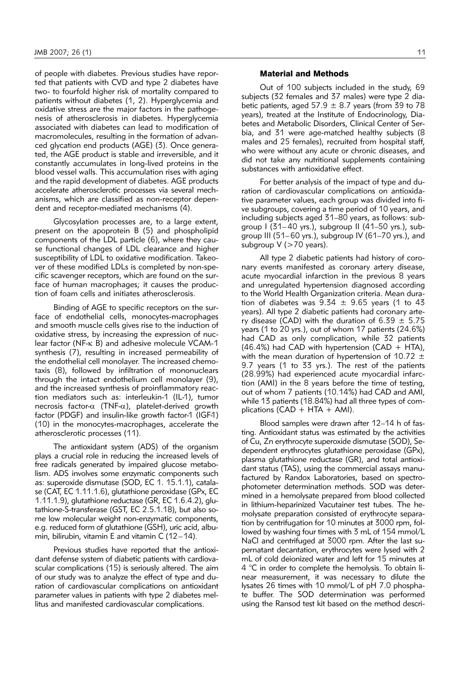of people with diabetes. Previous studies have reported that patients with CVD and type 2 diabetes have two- to fourfold higher risk of mortality compared to patients without diabetes (1, 2). Hyperglycemia and oxidative stress are the major factors in the pathogenesis of atherosclerosis in diabetes. Hyperglycemia associated with diabetes can lead to modification of macromolecules, resulting in the formation of advanced glycation end products (AGE) (3). Once generated, the AGE product is stable and irreversible, and it constantly accumulates in long-lived proteins in the blood vessel walls. This accumulation rises with aging and the rapid development of diabetes. AGE products accelerate atherosclerotic processes via several mechanisms, which are classified as non-receptor dependent and receptor-mediated mechanisms (4).

Glycosylation processes are, to a large extent, present on the apoprotein B (5) and phospholipid components of the LDL particle (6), where they cause functional changes of LDL clearance and higher susceptibility of LDL to oxidative modification. Takeover of these modified LDLs is completed by non-specific scavenger receptors, which are found on the surface of human macrophages; it causes the production of foam cells and initiates atherosclerosis.

Binding of AGE to specific receptors on the surface of endothelial cells, monocytes-macrophages and smooth muscle cells gives rise to the induction of oxidative stress, by increasing the expression of nuclear factor (NF-k B) and adhesive molecule VCAM-1 synthesis (7), resulting in increased permeability of the endothelial cell monolayer. The increased chemotaxis (8), followed by infiltration of mononuclears through the intact endothelium cell monolayer (9), and the increased synthesis of proinflammatory reaction mediators such as: interleukin-1 (IL-1), tumor necrosis factor- $\alpha$  (TNF- $\alpha$ ), platelet-derived growth factor (PDGF) and insulin-like growth factor-1 (IGF-1) (10) in the monocytes-macrophages, accelerate the atherosclerotic processes (11).

The antioxidant system (ADS) of the organism plays a crucial role in reducing the increased levels of free radicals generated by impaired glucose metabolism. ADS involves some enzymatic components such as: superoxide dismutase (SOD, EC 1. 15.1.1), catalase (CAT, EC 1.11.1.6), glutathione peroxidase (GPx, EC 1.11.1.9), glutathione reductase (GR, EC 1.6.4.2), glutathione-S-transferase (GST, EC 2.5.1.18), but also some low molecular weight non-enzymatic components, e.g. reduced form of glutathione (GSH), uric acid, albumin, bilirubin, vitamin E and vitamin C (12–14).

Previous studies have reported that the antioxidant defense system of diabetic patients with cardiovascular complications (15) is seriously altered. The aim of our study was to analyze the effect of type and duration of cardiovascular complications on antioxidant parameter values in patients with type 2 diabetes mellitus and manifested cardiovascular complications.

# Material and Methods

Out of 100 subjects included in the study, 69 subjects (32 females and 37 males) were type 2 diabetic patients, aged  $57.9 \pm 8.7$  years (from 39 to 78 years), treated at the Institute of Endocrinology, Diabetes and Metabolic Disorders, Clinical Center of Serbia, and 31 were age-matched healthy subjects (8 males and 25 females), recruited from hospital staff, who were without any acute or chronic diseases, and did not take any nutritional supplements containing substances with antioxidative effect.

For better analysis of the impact of type and duration of cardiovascular complications on antioxidative parameter values, each group was divided into five subgroups, covering a time period of 10 years, and including subjects aged 31–80 years, as follows: subgroup I (31– 40 yrs.), subgroup II (41–50 yrs.), subgroup III (51–60 yrs.), subgroup IV (61–70 yrs.), and subgroup V (>70 years).

All type 2 diabetic patients had history of coronary events manifested as coronary artery disease, acute myocardial infarction in the previous 8 years and unregulated hypertension diagnosed according to the World Health Organization criteria. Mean duration of diabetes was  $9.34 \pm 9.65$  years (1 to 43 years). All type 2 diabetic patients had coronary artery disease (CAD) with the duration of  $6.39 \pm 5.75$ years (1 to 20 yrs.), out of whom 17 patients (24.6%) had CAD as only complication, while 32 patients  $(46.4%)$  had CAD with hypertension (CAD + HTA), with the mean duration of hypertension of 10.72  $\pm$ 9.7 years (1 to 33 yrs.). The rest of the patients (28.99%) had experienced acute myocardial infarction (AMI) in the 8 years before the time of testing, out of whom 7 patients (10.14%) had CAD and AMI, while 13 patients (18.84%) had all three types of complications ( $CAD + HTA + AMI$ ).

Blood samples were drawn after 12–14 h of fasting. Antioxidant status was estimated by the activities of Cu, Zn erythrocyte superoxide dismutase (SOD), Sedependent erythrocytes glutathione peroxidase (GPx), plasma glutathione reductase (GR), and total antioxidant status (TAS), using the commercial assays manufactured by Randox Laboratories, based on spectrophotometer determination methods. SOD was determined in a hemolysate prepared from blood collected in lithium-heparinized Vacutainer test tubes. The hemolysate preparation consisted of erythrocyte separation by centrifugation for 10 minutes at 3000 rpm, followed by washing four times with 3 mL of 154 mmol/L NaCl and centrifuged at 3000 rpm. After the last supernatant decantation, erythrocytes were lysed with 2 mL of cold deionized water and left for 15 minutes at 4 °C in order to complete the hemolysis. To obtain linear measurement, it was necessary to dilute the lysates 26 times with 10 mmol/L of pH 7.0 phosphate buffer. The SOD determination was performed using the Ransod test kit based on the method descri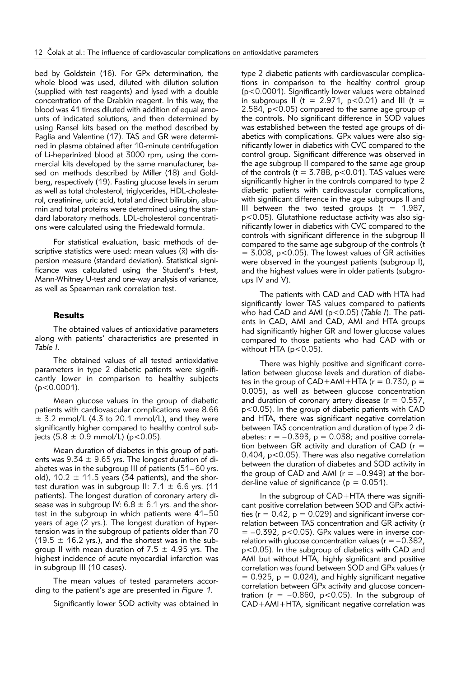bed by Goldstein (16). For GPx determination, the whole blood was used, diluted with dilution solution (supplied with test reagents) and lysed with a double concentration of the Drabkin reagent. In this way, the blood was 41 times diluted with addition of equal amounts of indicated solutions, and then determined by using Ransel kits based on the method described by Paglia and Valentine (17). TAS and GR were determined in plasma obtained after 10-minute centrifugation of Li-heparinized blood at 3000 rpm, using the commercial kits developed by the same manufacturer, based on methods described by Miller (18) and Goldberg, respectively (19). Fasting glucose levels in serum as well as total cholesterol, triglycerides, HDL-cholesterol, creatinine, uric acid, total and direct bilirubin, albumin and total proteins were determined using the standard laboratory methods. LDL-cholesterol concentrations were calculated using the Friedewald formula.

For statistical evaluation, basic methods of descriptive statistics were used: mean values  $(\bar{x})$  with dispersion measure (standard deviation). Statistical significance was calculated using the Student's t-test, Mann-Whitney U-test and one-way analysis of variance, as well as Spearman rank correlation test.

#### Results

The obtained values of antioxidative parameters along with patients' characteristics are presented in *Table I*.

The obtained values of all tested antioxidative parameters in type 2 diabetic patients were significantly lower in comparison to healthy subjects  $(p<0.0001)$ .

Mean glucose values in the group of diabetic patients with cardiovascular complications were 8.66  $\pm$  3.2 mmol/L (4.3 to 20.1 mmol/L), and they were significantly higher compared to healthy control subjects (5.8  $\pm$  0.9 mmol/L) (p<0.05).

Mean duration of diabetes in this group of patients was  $9.34 \pm 9.65$  yrs. The longest duration of diabetes was in the subgroup III of patients (51– 60 yrs. old), 10.2  $\pm$  11.5 years (34 patients), and the shortest duration was in subgroup II:  $7.1 \pm 6.6$  yrs. (11 patients). The longest duration of coronary artery disease was in subgroup IV:  $6.8 \pm 6.1$  yrs. and the shortest in the subgroup in which patients were 41–50 years of age (2 yrs.). The longest duration of hypertension was in the subgroup of patients older than 70 (19.5  $\pm$  16.2 yrs.), and the shortest was in the subgroup II with mean duration of 7.5  $\pm$  4.95 yrs. The highest incidence of acute myocardial infarction was in subgroup III (10 cases).

The mean values of tested parameters according to the patient's age are presented in *Figure 1*.

Significantly lower SOD activity was obtained in

type 2 diabetic patients with cardiovascular complications in comparison to the healthy control group (p<0.0001). Significantly lower values were obtained in subgroups II (t =  $2.971$ , p<0.01) and III (t = 2.584, p<0.05) compared to the same age group of the controls. No significant difference in SOD values was established between the tested age groups of diabetics with complications. GPx values were also significantly lower in diabetics with CVC compared to the control group. Significant difference was observed in the age subgroup II compared to the same age group of the controls (t =  $3.788$ , p<0.01). TAS values were significantly higher in the controls compared to type 2 diabetic patients with cardiovascular complications, with significant difference in the age subgroups II and III between the two tested groups ( $t = 1.987$ , p<0.05). Glutathione reductase activity was also significantly lower in diabetics with CVC compared to the controls with significant difference in the subgroup II compared to the same age subgroup of the controls (t  $=$  3.008, p<0.05). The lowest values of GR activities were observed in the youngest patients (subgroup I), and the highest values were in older patients (subgroups IV and V).

The patients with CAD and CAD with HTA had significantly lower TAS values compared to patients who had CAD and AMI (p<0.05) (*Table I*). The patients in CAD, AMI and CAD, AMI and HTA groups had significantly higher GR and lower glucose values compared to those patients who had CAD with or without HTA ( $p < 0.05$ ).

There was highly positive and significant correlation between glucose levels and duration of diabetes in the group of  $CAD+AMI+HTA$  ( $r = 0.730$ ,  $p =$ 0.005), as well as between glucose concentration and duration of coronary artery disease ( $r = 0.557$ , p<0.05). In the group of diabetic patients with CAD and HTA, there was significant negative correlation between TAS concentration and duration of type 2 diabetes:  $r = -0.393$ ,  $p = 0.038$ ; and positive correlation between GR activity and duration of CAD ( $r =$ 0.404, p<0.05). There was also negative correlation between the duration of diabetes and SOD activity in the group of CAD and AMI ( $r = -0.949$ ) at the border-line value of significance ( $p = 0.051$ ).

In the subgroup of CAD+HTA there was significant positive correlation between SOD and GPx activities ( $r = 0.42$ ,  $p = 0.029$ ) and significant inverse correlation between TAS concentration and GR activity (r  $= -0.392$ , p<0.05). GPx values were in inverse correlation with glucose concentration values ( $r = -0.382$ , p<0.05). In the subgroup of diabetics with CAD and AMI but without HTA, highly significant and positive correlation was found between SOD and GPx values (r  $= 0.925$ ,  $p = 0.024$ ), and highly significant negative correlation between GPx activity and glucose concentration ( $r = -0.860$ ,  $p < 0.05$ ). In the subgroup of CAD+AMI+HTA, significant negative correlation was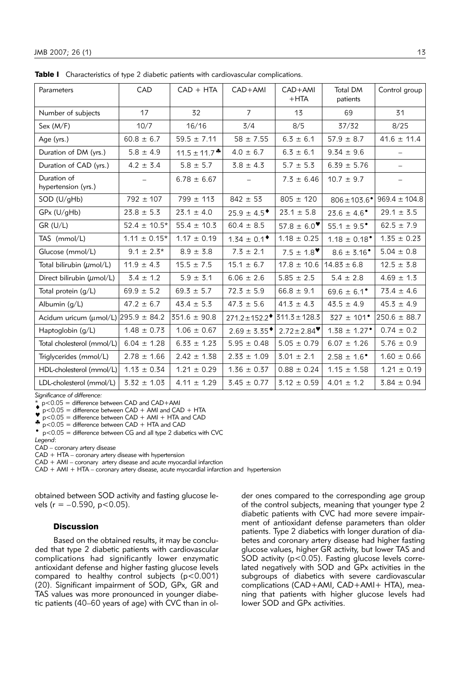| Parameters                                    | CAD              | $CAD + HTA$       | $CAD+AMI$                             | CAD+AMI<br>$+HTA$            | <b>Total DM</b><br>patients  | Control group            |
|-----------------------------------------------|------------------|-------------------|---------------------------------------|------------------------------|------------------------------|--------------------------|
| Number of subjects                            | 17               | 32                | $\overline{7}$                        | 13                           | 69                           | 31                       |
| Sex (M/F)                                     | 10/7             | 16/16             | 3/4                                   | 8/5                          | 37/32                        | 8/25                     |
| Age (yrs.)                                    | $60.8 \pm 6.7$   | $59.5 \pm 7.11$   | $58 \pm 7.55$                         | $6.3 \pm 6.1$                | $57.9 \pm 8.7$               | $41.6 \pm 11.4$          |
| Duration of DM (yrs.)                         | $5.8 \pm 4.9$    | $11.5 \pm 11.7$ * | $4.0 \pm 6.7$                         | $6.3 \pm 6.1$                | $9.34 \pm 9.6$               |                          |
| Duration of CAD (yrs.)                        | $4.2 \pm 3.4$    | $5.8 \pm 5.7$     | $3.8 \pm 4.3$                         | $5.7 \pm 5.3$                | $6.39 \pm 5.76$              |                          |
| Duration of<br>hypertension (yrs.)            |                  | $6.78 \pm 6.67$   |                                       | $7.3 \pm 6.46$               | $10.7 \pm 9.7$               | $\overline{\phantom{0}}$ |
| SOD (U/gHb)                                   | $792 \pm 107$    | $799 \pm 113$     | $842 \pm 53$                          | $805 \pm 120$                | $806 \pm 103.6$ <sup>*</sup> | $969.4 \pm 104.8$        |
| GPx (U/gHb)                                   | $23.8 \pm 5.3$   | $23.1 \pm 4.0$    | $25.9 \pm 4.5$ <sup>*</sup>           | $23.1 \pm 5.8$               | $23.6 \pm 4.6^{\circ}$       | $29.1 \pm 3.5$           |
| GR (U/L)                                      | $52.4 \pm 10.5*$ | $55.4 \pm 10.3$   | $60.4 \pm 8.5$                        | 57.8 $\pm$ 6.0 <sup>*</sup>  | $55.1 \pm 9.5^{\circ}$       | $62.5 \pm 7.9$           |
| TAS (mmol/L)                                  | $1.11 \pm 0.15*$ | $1.17 \pm 0.19$   | $1.34 \pm 0.1^{\bullet}$              | $1.18 \pm 0.25$              | $1.18 \pm 0.18^{\circ}$      | $1.35 \pm 0.23$          |
| Glucose (mmol/L)                              | $9.1 \pm 2.3*$   | $8.9 \pm 3.8$     | $7.3 \pm 2.1$                         | $7.5 \pm 1.8$ <sup>*</sup>   | $8.6 \pm 3.16^{\circ}$       | $5.04 \pm 0.8$           |
| Total bilirubin $(\mu \text{mol/L})$          | $11.9 \pm 4.3$   | $15.5 \pm 7.5$    | $15.1 \pm 6.7$                        | $17.8 \pm 10.6$              | $14.83 \pm 6.8$              | $12.5 \pm 3.8$           |
| Direct bilirubin (umol/L)                     | $3.4 \pm 1.2$    | $5.9 \pm 3.1$     | $6.06 \pm 2.6$                        | $5.85 \pm 2.5$               | $5.4 \pm 2.8$                | $4.69 \pm 1.3$           |
| Total protein $(g/L)$                         | $69.9 \pm 5.2$   | $69.3 \pm 5.7$    | $72.3 \pm 5.9$                        | $66.8 \pm 9.1$               | $69.6 \pm 6.1^{\circ}$       | $73.4 \pm 4.6$           |
| Albumin (g/L)                                 | $47.2 \pm 6.7$   | $43.4 \pm 5.3$    | $47.3 \pm 5.6$                        | $41.3 \pm 4.3$               | $43.5 \pm 4.9$               | $45.3 \pm 4.9$           |
| Acidum uricum ( $\mu$ mol/L) 295.9 $\pm$ 84.2 |                  | $351.6 \pm 90.8$  | $271.2 \pm 152.2$   311.3 $\pm$ 128.3 |                              | $327 \pm 101^{\circ}$        | $250.6 \pm 88.7$         |
| Haptoglobin $(g/L)$                           | $1.48 \pm 0.73$  | $1.06 \pm 0.67$   | $2.69 \pm 3.35$ <sup>*</sup>          | $2.72 \pm 2.84$ <sup>*</sup> | $1.38 \pm 1.27$ <sup>*</sup> | $0.74 \pm 0.2$           |
| Total cholesterol (mmol/L)                    | $6.04 \pm 1.28$  | $6.33 \pm 1.23$   | $5.95 \pm 0.48$                       | $5.05 \pm 0.79$              | $6.07 \pm 1.26$              | $5.76 \pm 0.9$           |
| Triglycerides (mmol/L)                        | $2.78 \pm 1.66$  | $2.42 \pm 1.38$   | $2.33 \pm 1.09$                       | $3.01 \pm 2.1$               | $2.58 \pm 1.6$ <sup>*</sup>  | $1.60 \pm 0.66$          |
| HDL-cholesterol (mmol/L)                      | $1.13 \pm 0.34$  | $1.21 \pm 0.29$   | $1.36 \pm 0.37$                       | $0.88 \pm 0.24$              | $1.15 \pm 1.58$              | $1.21 \pm 0.19$          |
| LDL-cholesterol (mmol/L)                      | $3.32 \pm 1.03$  | $4.11 \pm 1.29$   | $3.45 \pm 0.77$                       | $3.12 \pm 0.59$              | $4.01 \pm 1.2$               | $3.84 \pm 0.94$          |

**Table I** Characteristics of type 2 diabetic patients with cardiovascular complications.

*Significance of difference:* 

 $*$  p<0.05 = difference between CAD and CAD+AMI

 $\bullet$  p<0.05 = difference between CAD + AMI and CAD + HTA p<0.05 = difference between CAD + AMI + HTA and CAD  $\bullet$  p<0.05 = difference between CAD + HTA and CAD

 $p<0.05$  = difference between CG and all type 2 diabetics with CVC

*Legend*:

CAD – coronary artery disease

CAD + HTA – coronary artery disease with hypertension

CAD + AMI – coronary artery disease and acute myocardial infarction

CAD + AMI + HTA – coronary artery disease, acute myocardial infarction and hypertension

obtained between SOD activity and fasting glucose levels ( $r = -0.590$ ,  $p < 0.05$ ).

### **Discussion**

Based on the obtained results, it may be concluded that type 2 diabetic patients with cardiovascular complications had significantly lower enzymatic antioxidant defense and higher fasting glucose levels compared to healthy control subjects (p<0.001) (20). Significant impairment of SOD, GPx, GR and TAS values was more pronounced in younger diabetic patients (40–60 years of age) with CVC than in ol-

der ones compared to the corresponding age group of the control subjects, meaning that younger type 2 diabetic patients with CVC had more severe impairment of antioxidant defense parameters than older patients. Type 2 diabetics with longer duration of diabetes and coronary artery disease had higher fasting glucose values, higher GR activity, but lower TAS and  $SOD$  activity ( $p < 0.05$ ). Fasting glucose levels correlated negatively with SOD and GPx activities in the subgroups of diabetics with severe cardiovascular complications (CAD+AMI, CAD+AMI+ HTA), meaning that patients with higher glucose levels had lower SOD and GPx activities.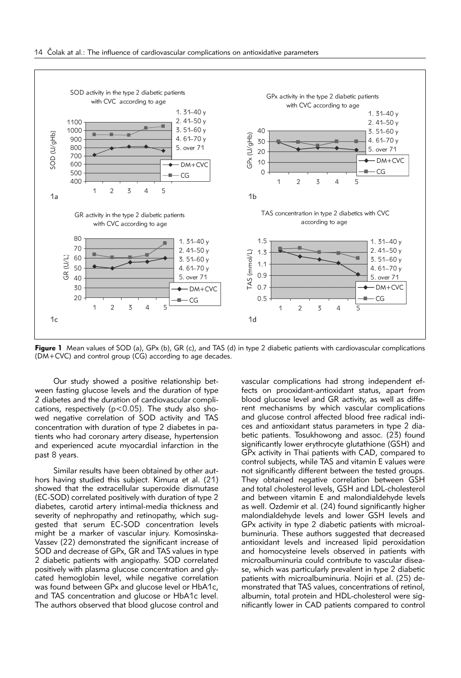

**Figure 1** Mean values of SOD (a), GPx (b), GR (c), and TAS (d) in type 2 diabetic patients with cardiovascular complications (DM+CVC) and control group (CG) according to age decades.

Our study showed a positive relationship between fasting glucose levels and the duration of type 2 diabetes and the duration of cardiovascular complications, respectively ( $p < 0.05$ ). The study also showed negative correlation of SOD activity and TAS concentration with duration of type 2 diabetes in patients who had coronary artery disease, hypertension and experienced acute myocardial infarction in the past 8 years.

Similar results have been obtained by other authors having studied this subject. Kimura et al. (21) showed that the extracellular superoxide dismutase (EC-SOD) correlated positively with duration of type 2 diabetes, carotid artery intimal-media thickness and severity of nephropathy and retinopathy, which suggested that serum EC-SOD concentration levels might be a marker of vascular injury. Komosinska-Vassev (22) demonstrated the significant increase of SOD and decrease of GPx, GR and TAS values in type 2 diabetic patients with angiopathy. SOD correlated positively with plasma glucose concentration and glycated hemoglobin level, while negative correlation was found between GPx and glucose level or HbA1c, and TAS concentration and glucose or HbA1c level. The authors observed that blood glucose control and

vascular complications had strong independent effects on prooxidant-antioxidant status, apart from blood glucose level and GR activity, as well as different mechanisms by which vascular complications and glucose control affected blood free radical indices and antioxidant status parameters in type 2 diabetic patients. Tosukhowong and assoc. (23) found significantly lower erythrocyte glutathione (GSH) and GPx activity in Thai patients with CAD, compared to control subjects, while TAS and vitamin E values were not significantly different between the tested groups. They obtained negative correlation between GSH and total cholesterol levels, GSH and LDL-cholesterol and between vitamin E and malondialdehyde levels as well. Ozdemir et al. (24) found significantly higher malondialdehyde levels and lower GSH levels and GPx activity in type 2 diabetic patients with microalbuminuria. These authors suggested that decreased antioxidant levels and increased lipid peroxidation and homocysteine levels observed in patients with microalbuminuria could contribute to vascular disease, which was particularly prevalent in type 2 diabetic patients with microalbuminuria. Nojiri et al. (25) demonstrated that TAS values, concentrations of retinol, albumin, total protein and HDL-cholesterol were significantly lower in CAD patients compared to control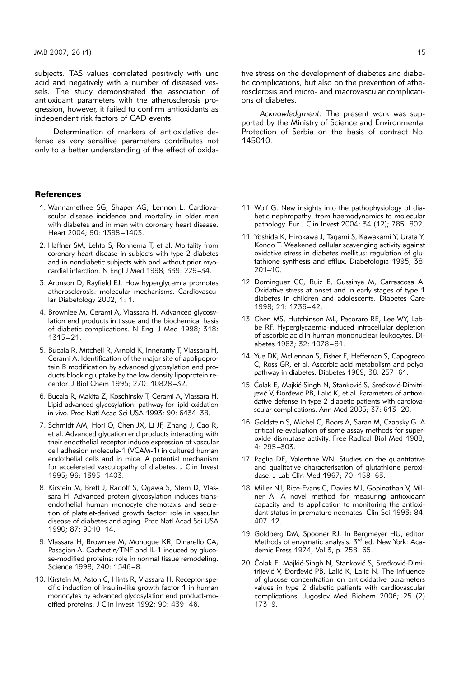subjects. TAS values correlated positively with uric acid and negatively with a number of diseased vessels. The study demonstrated the association of antioxidant parameters with the atherosclerosis progression, however, it failed to confirm antioxidants as independent risk factors of CAD events.

Determination of markers of antioxidative defense as very sensitive parameters contributes not only to a better understanding of the effect of oxida-

#### **References**

- 1. Wannamethee SG, Shaper AG, Lennon L. Cardiovascular disease incidence and mortality in older men with diabetes and in men with coronary heart disease. Heart 2004; 90: 1398 –1403.
- 2. Haffner SM, Lehto S, Ronnema T, et al. Mortality from coronary heart disease in subjects with type 2 diabetes and in nondiabetic subjects with and without prior myocardial infarction. N Engl J Med 1998; 339: 229–34.
- 3. Aronson D, Rayfield EJ. How hyperglycemia promotes atherosclerosis: molecular mechanisms. Cardiovascular Diabetology 2002; 1: 1.
- 4. Brownlee M, Cerami A, Vlassara H. Advanced glycosylation end products in tissue and the biochemical basis of diabetic complications. N Engl J Med 1998; 318: 1315–21.
- 5. Bucala R, Mitchell R, Arnold K, Innerarity T, Vlassara H, Cerami A. Identification of the major site of apolipoprotein B modification by advanced glycosylation end products blocking uptake by the low density lipoprotein receptor. J Biol Chem 1995; 270: 10828 –32.
- 6. Bucala R, Makita Z, Koschinsky T, Cerami A, Vlassara H. Lipid advanced glycosylation: pathway for lipid oxidation in vivo. Proc Natl Acad Sci USA 1993; 90: 6434–38.
- 7. Schmidt AM, Hori O, Chen JX, Li JF, Zhang J, Cao R, et al. Advanced glycation end products interacting with their endothelial receptor induce expression of vascular cell adhesion molecule-1 (VCAM-1) in cultured human endothelial cells and in mice. A potential mechanism for accelerated vasculopathy of diabetes. J Clin Invest 1995; 96: 1395–1403.
- 8. Kirstein M, Brett J, Radoff S, Ogawa S, Stern D, Vlassara H. Advanced protein glycosylation induces transendothelial human monocyte chemotaxis and secretion of platelet-derived growth factor: role in vascular disease of diabetes and aging. Proc Natl Acad Sci USA 1990; 87: 9010–14.
- 9. Vlassara H, Brownlee M, Monogue KR, Dinarello CA, Pasagian A. Cachectin/TNF and IL-1 induced by glucose-modified proteins: role in normal tissue remodeling. Science 1998; 240: 1546–8.
- 10. Kirstein M, Aston C, Hints R, Vlassara H. Receptor-specific induction of insulin-like growth factor 1 in human monocytes by advanced glycosylation end product-modified proteins. J Clin Invest 1992; 90: 439–46.

tive stress on the development of diabetes and diabetic complications, but also on the prevention of atherosclerosis and micro- and macrovascular complications of diabetes.

*Acknowledgment.* The present work was supported by the Ministry of Science and Environmental Protection of Serbia on the basis of contract No. 145010.

- 11. Wolf G. New insights into the pathophysiology of diabetic nephropathy: from haemodynamics to molecular pathology. Eur J Clin Invest 2004: 34 (12); 785–802.
- 11. Yoshida K, Hirokawa J, Tagami S, Kawakami Y, Urata Y, Kondo T. Weakened cellular scavenging activity against oxidative stress in diabetes mellitus: regulation of glutathione synthesis and efflux. Diabetologia 1995; 38: 201–10.
- 12. Dominguez CC, Ruiz E, Gussinye M, Carrascosa A. Oxidative stress at onset and in early stages of type 1 diabetes in children and adolescents. Diabetes Care 1998; 21: 1736–42.
- 13. Chen MS, Hutchinson ML, Pecoraro RE, Lee WY, Labbe RF. Hyperglycaemia-induced intracellular depletion of ascorbic acid in human mononuclear leukocytes. Diabetes 1983; 32: 1078–81.
- 14. Yue DK, McLennan S, Fisher E, Heffernan S, Capogreco C, Ross GR, et al. Ascorbic acid metabolism and polyol pathway in diabetes. Diabetes 1989; 38: 257–61.
- 15. Čolak E, Majkić-Singh N, Stanković S, Srećković-Dimitrijević V, Đorđević PB, Lalić K, et al. Parameters of antioxidative defense in type 2 diabetic patients with cardiovascular complications. Ann Med 2005; 37: 613–20.
- 16. Goldstein S, Michel C, Boors A, Saran M, Czapsky G. A critical re-evaluation of some assay methods for superoxide dismutase activity. Free Radical Biol Med 1988; 4: 295–303.
- 17. Paglia DE, Valentine WN. Studies on the quantitative and qualitative characterisation of glutathione peroxidase. J Lab Clin Med 1967; 70: 158–63.
- 18. Miller NJ, Rice-Evans C, Davies MJ, Gopinathan V, Milner A. A novel method for measuring antioxidant capacity and its application to monitoring the antioxidant status in premature neonates. Clin Sci 1993; 84: 407–12.
- 19. Goldberg DM, Spooner RJ. In Bergmeyer HU, editor. Methods of enzymatic analysis. 3<sup>rd</sup> ed. New York: Academic Press 1974, Vol 3, p. 258–65.
- 20. Čolak E, Majkić-Singh N, Stanković S, Srećković-Dimitrijević V, Đorđević PB, Lalić K, Lalić N. The influence of glucose concentration on antioxidative parameters values in type 2 diabetic patients with cardiovascular complications. Jugoslov Med Biohem 2006; 25 (2) 173–9.